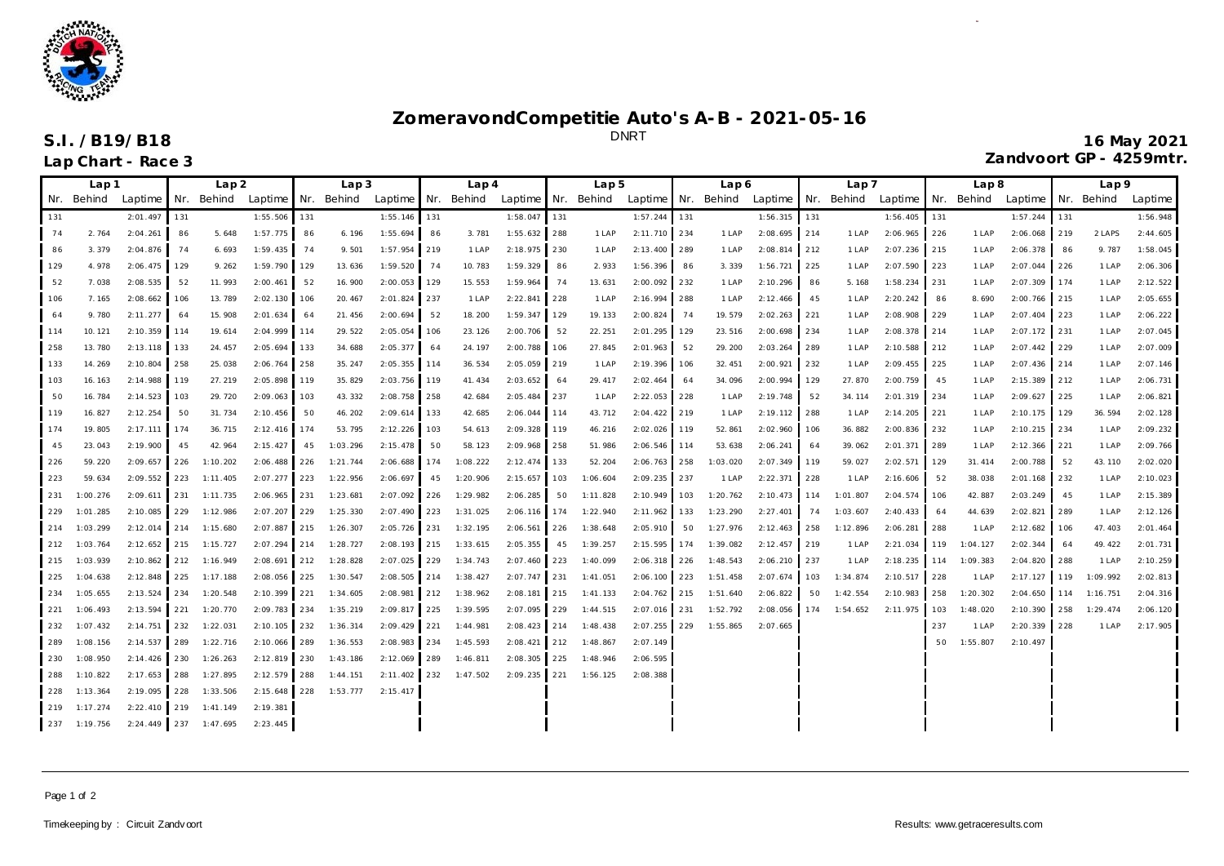

## **ZomeravondCompetitie Auto's A-B - 2021-05-16**

DNRT **S.I. /B19/B18 16 May 2021 Lap Chart - Race 3 Zandvoort GP - 4259mtr.**

|     | Lap 1        |                       | Lap2  |                       | Lap3           |     |          |                | Lap 4 |                       | Lap <sub>5</sub> |     | Lap 6                                                           |                | Lap 7 |          | Lap8                                  |     | Lap9         |              |     |          |                      |      |          |          |
|-----|--------------|-----------------------|-------|-----------------------|----------------|-----|----------|----------------|-------|-----------------------|------------------|-----|-----------------------------------------------------------------|----------------|-------|----------|---------------------------------------|-----|--------------|--------------|-----|----------|----------------------|------|----------|----------|
|     | Nr. Behind   | Laptime I Nr. Behind  |       |                       | Laptime Nr.    |     |          |                |       |                       |                  |     | Behind Laptime Nr. Behind Laptime Nr. Behind Laptime Nr. Behind |                |       |          | Laptime Nr. Behind Laptime Nr. Behind |     |              |              |     |          | Laptime   Nr. Behind |      |          | Laptime  |
| 131 |              | 2:01.497              | 131   |                       | 1:55.506 131   |     |          | 1:55.146       | 131   |                       | 1:58.047         | 131 |                                                                 | 1:57.244       | 131   |          | 1:56.315                              | 131 |              | 1:56.405     | 131 |          | 1:57.244             | 131  |          | 1:56.948 |
| 74  | 2.764        | 2:04.261              | 86    | 5.648                 | 1:57.775       | 86  | 6.196    | 1:55.694       | 86    | 3.781                 | 1:55.632 288     |     | 1 LAP                                                           | 2:11.710 234   |       | 1 LAP    | 2:08.695                              | 214 | 1 LAP        | 2:06.965     | 226 | 1 LAP    | 2:06.068             | 219  | 2 LAPS   | 2:44.605 |
| 86  | 3.379        | 2:04.876              | 74    | 6.693                 | 1:59.435       | 74  | 9.501    | 1:57.954 219   |       | 1 LAP                 | 2:18.975 230     |     | 1 LAP                                                           | 2:13.400 289   |       | 1 LAP    | 2:08.814                              | 212 | 1 LAP        | 2:07.236 215 |     | 1 LAP    | 2:06.378             | 86   | 9.787    | 1:58.045 |
| 129 | 4.978        | 2:06.475              | 129   | 9.262                 | 1:59.790 129   |     | 13.636   | 1:59.520       | 74    | 10.783                | 1:59.329         | 86  | 2.933                                                           | 1:56.396       | - 86  | 3.339    | 1:56.721                              | 225 | 1 LAP        | 2:07.590 223 |     | 1 LAP    | 2:07.044 226         |      | 1 LAP    | 2:06.306 |
| 52  | 7.038        | 2:08.535              | 52    | 11.993                | 2:00.461       | 52  | 16.900   | 2:00.053 129   |       | 15.553                | 1:59.964         | 74  | 13.631                                                          | 2:00.092 232   |       | 1 LAP    | 2:10.296                              | 86  | 5.168        | 1:58.234 231 |     | 1 LAP    | 2:07.309             | 174  | 1 LAP    | 2:12.522 |
| 106 | 7.165        | 2:08.662              | 106   | 13.789                | 2:02.130       | 106 | 20.467   | 2:01.824 237   |       | 1 LAP                 | 2:22.841 228     |     | 1 LAP                                                           | 2:16.994 288   |       | 1 LAP    | 2:12.466                              | 45  | 1 LAP        | 2:20.242     | 86  | 8.690    | 2:00.766 215         |      | 1 LAP    | 2:05.655 |
| 64  | 9.780        | 2:11.277              | 64    | 15.908                | 2:01.634       | 64  | 21.456   | 2:00.694       | 52    | 18.200                | 1:59.347 129     |     | 19.133                                                          | 2:00.824       | 74    | 19.579   | $2:02.263$ 221                        |     | 1 LAP        | 2:08.908 229 |     | 1 LAP    | 2:07.404 223         |      | 1 LAP    | 2:06.222 |
| 114 | 10.121       | 2:10.359 114          |       | 19.614                | 2:04.999 114   |     | 29.522   | 2:05.054 106   |       | 23.126                | 2:00.706         | 52  | 22.251                                                          | 2:01.295 129   |       | 23.516   | 2:00.698                              | 234 | 1 LAP        | 2:08.378 214 |     | 1 LAP    | 2:07.172 231         |      | 1 LAP    | 2:07.045 |
| 258 | 13.780       | 2:13.118 133          |       | 24.457                | 2:05.694 133   |     | 34.688   | $2:05.377$ 64  |       | 24.197                | $2:00.788$ 106   |     | 27.845                                                          | 2:01.963       | 52    | 29.200   | 2:03.264                              | 289 | 1 LAP        | 2:10.588 212 |     | 1 LAP    | 2:07.442 229         |      | 1 LAP    | 2:07.009 |
| 133 | 14.269       | 2:10.804 258          |       | 25.038                | 2:06.764 258   |     | 35.247   | 2:05.355 114   |       | 36.534                | 2:05.059 219     |     | 1 LAP                                                           | 2:19.396 106   |       | 32.451   | 2:00.921                              | 232 | 1 LAP        | 2:09.455 225 |     | 1 LAP    | 2:07.436 214         |      | 1 LAP    | 2:07.146 |
| 103 | 16.163       | 2:14.988              | 119   | 27.219                | 2:05.898       | 119 | 35.829   | 2:03.756 119   |       | 41.434                | 2:03.652         | 64  | 29.417                                                          | 2:02.464       | 64    | 34.096   | 2:00.994                              | 129 | 27.870       | 2:00.759     | 45  | 1 LAP    | 2:15.389             | 1212 | 1 LAP    | 2:06.731 |
| 50  | 16.784       | 2:14.523              | 103   | 29.720                | 2:09.063       | 103 | 43.332   | 2:08.758 258   |       | 42.684                | 2:05.484 237     |     | 1 LAP                                                           | $2:22.053$ 228 |       | 1 LAP    | 2:19.748                              | 52  | 34.114       | 2:01.319 234 |     | 1 LAP    | 2:09.627             | 1225 | 1 LAP    | 2:06.821 |
| 119 | 16.827       | 2:12.254              | 50    | 31.734                | 2:10.456       | 50  | 46.202   | 2:09.614 133   |       | 42.685                | 2:06.044 114     |     | 43.712                                                          | 2:04.422 219   |       | 1 LAP    | 2:19.112                              | 288 | 1 LAP        | 2:14.205 221 |     | 1 LAP    | 2:10.175 129         |      | 36.594   | 2:02.128 |
| 174 | 19.805       | 2:17.111              | 174   | 36.715                | 2:12.416 174   |     | 53.795   | 2:12.226 103   |       | 54.613                | 2:09.328 119     |     | 46.216                                                          | 2:02.026 119   |       | 52.861   | 2:02.960                              | 106 | 36.882       | 2:00.836     | 232 | 1 LAP    | 2:10.215 234         |      | 1 LAP    | 2:09.232 |
| 45  | 23.043       | 2:19.900              | 45    | 42.964                | 2:15.427       | 45  | 1:03.296 | 2:15.478       | 50    | 58.123                | 2:09.968 258     |     | 51.986                                                          | 2:06.546 114   |       | 53.638   | 2:06.241                              | 64  | 39.062       | 2:01.371     | 289 | 1 LAP    | 2:12.366             | 1221 | 1 LAP    | 2:09.766 |
| 226 | 59.220       | 2:09.657              | $226$ | 1:10.202              | $2:06.488$ 226 |     | 1:21.744 | 2:06.688 174   |       | 1:08.222              | 2:12.474 133     |     | 52.204                                                          | 2:06.763 258   |       | 1:03.020 | 2:07.349                              | 119 | 59.027       | 2:02.571     | 129 | 31.414   | 2:00.788             | 52   | 43.110   | 2:02.020 |
| 223 | 59.634       | $2:09.552$ 223        |       | 1:11.405              | $2:07.277$ 223 |     | 1:22.956 | 2:06.697       | 45    | 1:20.906              | 2:15.657         | 103 | 1:06.604                                                        | 2:09.235 237   |       | 1 LAP    | 2:22.371                              | 228 | 1 LAP        | 2:16.606     | 52  | 38.038   | 2:01.168             | 232  | 1 LAP    | 2:10.023 |
| 231 | 1:00.276     | 2:09.611              | $231$ | 1:11.735              | $2:06.965$ 231 |     | 1:23.681 | $2:07.092$ 226 |       | 1:29.982              | 2:06.285         | 50  | 1:11.828                                                        | 2:10.949 103   |       | 1:20.762 | $2:10.473$ 114                        |     | 1:01.807     | 2:04.574 106 |     | 42.887   | 2:03.249             | 45   | 1 LAP    | 2:15.389 |
| 229 | 1:01.285     | 2:10.085 229          |       | 1:12.986              | 2:07.207 229   |     | 1:25.330 | 2:07.490 223   |       | 1:31.025              | $2:06.116$ 174   |     | 1:22.940                                                        | 2:11.962 133   |       | 1:23.290 | 2:27.401                              | 74  | 1:03.607     | 2:40.433     | 64  | 44.639   | 2:02.821             | 289  | 1 LAP    | 2:12.126 |
| 214 | 1:03.299     | $2:12.014$ 214        |       | 1:15.680              | 2:07.887 215   |     | 1:26.307 | 2:05.726 231   |       | 1:32.195              | $2:06.561$ 226   |     | 1:38.648                                                        | 2:05.910       | 50    | 1:27.976 | 2:12.463                              | 258 | 1:12.896     | 2:06.281     | 288 | 1 LAP    | 2:12.682             | 106  | 47.403   | 2:01.464 |
| 212 | 1:03.764     | 2:12.652 215 1:15.727 |       |                       | 2:07.294 214   |     | 1:28.727 | 2:08.193 215   |       | 1:33.615              | 2:05.355         | 45  | 1:39.257                                                        | 2:15.595       | 174   | 1:39.082 | 2:12.457                              | 219 | 1 LAP        | 2:21.034     | 119 | 1:04.127 | 2:02.344             | 64   | 49.422   | 2:01.731 |
| 215 | 1:03.939     |                       |       | 2:10.862 212 1:16.949 | 2:08.691 212   |     | 1:28.828 |                |       | 2:07.025 229 1:34.743 | 2:07.460 223     |     | 1:40.099                                                        | 2:06.318 226   |       | 1:48.543 | 2:06.210 237                          |     | 1 LAP        | 2:18.235 114 |     | 1:09.383 | 2:04.820 288         |      | 1 LAP    | 2:10.259 |
| 225 | 1:04.638     | 2:12.848 225          |       | 1:17.188              | $2:08.056$ 225 |     | 1:30.547 |                |       | 2:08.505 214 1:38.427 | 2:07.747 231     |     | 1:41.051                                                        | 2:06.100 223   |       | 1:51.458 | 2:07.674 103                          |     | 1:34.874     | 2:10.517 228 |     | 1 LAP    | $2:17.127$ 119       |      | 1:09.992 | 2:02.813 |
| 234 | 1:05.655     | 2:13.524 234          |       | 1:20.548              | 2:10.399 221   |     | 1:34.605 |                |       | 2:08.981 212 1:38.962 | $2:08.181$ 215   |     | 1:41.133                                                        | 2:04.762 215   |       | 1:51.640 | 2:06.822                              | 50  | 1:42.554     | 2:10.983     | 258 | 1:20.302 | 2:04.650             | 114  | 1:16.751 | 2:04.316 |
| 221 | 1:06.493     | $2:13.594$ 221        |       | 1:20.770              | 2:09.783 234   |     | 1:35.219 | $2:09.817$ 225 |       | 1:39.595              | 2:07.095 229     |     | 1:44.515                                                        | 2:07.016 231   |       | 1:52.792 | 2:08.056                              |     | 174 1:54.652 | 2:11.975 103 |     | 1:48.020 | 2:10.390 258         |      | 1:29.474 | 2:06.120 |
| 232 | 1:07.432     | $2:14.751$ 232        |       | 1:22.031              | $2:10.105$ 232 |     | 1:36.314 | 2:09.429 221   |       | 1:44.981              |                  |     | 2:08.423 214 1:48.438                                           | 2:07.255 229   |       | 1:55.865 | 2:07.665                              |     |              |              | 237 | 1 LAP    | 2:20.339             | 228  | 1 LAP    | 2:17.905 |
| 289 | 1:08.156     | 2:14.537 289          |       | 1:22.716              | 2:10.066 289   |     | 1:36.553 | 2:08.983 234   |       | 1:45.593              | $2:08.421$ 212   |     | 1:48.867                                                        | 2:07.149       |       |          |                                       |     |              |              | 50  | 1:55.807 | 2:10.497             |      |          |          |
| 230 | 1:08.950     | $2:14.426$ 230        |       | 1:26.263              | 2:12.819 230   |     | 1:43.186 | 2:12.069 289   |       | 1:46.811              | $2:08.305$ 225   |     | 1:48.946                                                        | 2:06.595       |       |          |                                       |     |              |              |     |          |                      |      |          |          |
| 288 | 1:10.822     | 2:17.653 288          |       | 1:27.895              | 2:12.579 288   |     | 1:44.151 | 2:11.402 232   |       | 1:47.502              | 2:09.235 221     |     | 1:56.125                                                        | 2:08.388       |       |          |                                       |     |              |              |     |          |                      |      |          |          |
| 228 | 1:13.364     | 2:19.095 228          |       | 1:33.506              | $2:15.648$ 228 |     | 1:53.777 | 2:15.417       |       |                       |                  |     |                                                                 |                |       |          |                                       |     |              |              |     |          |                      |      |          |          |
|     | 219 1:17.274 |                       |       | 2:22.410 219 1:41.149 | 2:19.381       |     |          |                |       |                       |                  |     |                                                                 |                |       |          |                                       |     |              |              |     |          |                      |      |          |          |
|     | 237 1:19.756 |                       |       | 2:24.449 237 1:47.695 | 2:23.445       |     |          |                |       |                       |                  |     |                                                                 |                |       |          |                                       |     |              |              |     |          |                      |      |          |          |